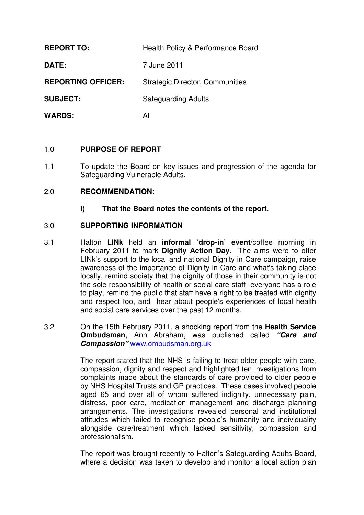| <b>REPORT TO:</b>         | Health Policy & Performance Board      |
|---------------------------|----------------------------------------|
| DATE:                     | 7 June 2011                            |
| <b>REPORTING OFFICER:</b> | <b>Strategic Director, Communities</b> |
| <b>SUBJECT:</b>           | <b>Safeguarding Adults</b>             |
| <b>WARDS:</b>             | All                                    |

#### 1.0 **PURPOSE OF REPORT**

1.1 To update the Board on key issues and progression of the agenda for Safeguarding Vulnerable Adults.

## 2.0 **RECOMMENDATION:**

**i) That the Board notes the contents of the report.**

## 3.0 **SUPPORTING INFORMATION**

- 3.1 Halton **LINk** held an **informal 'drop-in' event**/coffee morning in February 2011 to mark **Dignity Action Day**. The aims were to offer LINk's support to the local and national Dignity in Care campaign, raise awareness of the importance of Dignity in Care and what's taking place locally, remind society that the dignity of those in their community is not the sole responsibility of health or social care staff- everyone has a role to play, remind the public that staff have a right to be treated with dignity and respect too, and hear about people's experiences of local health and social care services over the past 12 months.
- 3.2 On the 15th February 2011, a shocking report from the **Health Service Ombudsman**, Ann Abraham, was published called **"Care and Compassion"** www.ombudsman.org.uk

The report stated that the NHS is failing to treat older people with care, compassion, dignity and respect and highlighted ten investigations from complaints made about the standards of care provided to older people by NHS Hospital Trusts and GP practices. These cases involved people aged 65 and over all of whom suffered indignity, unnecessary pain, distress, poor care, medication management and discharge planning arrangements. The investigations revealed personal and institutional attitudes which failed to recognise people's humanity and individuality alongside care/treatment which lacked sensitivity, compassion and professionalism.

The report was brought recently to Halton's Safeguarding Adults Board, where a decision was taken to develop and monitor a local action plan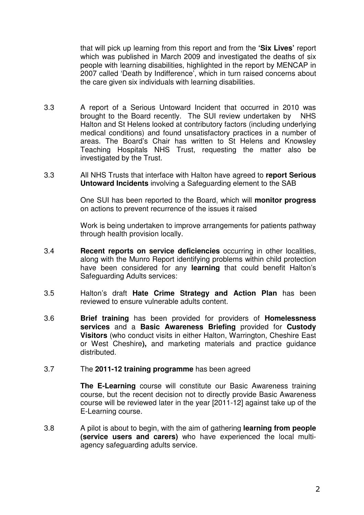that will pick up learning from this report and from the **'Six Lives'** report which was published in March 2009 and investigated the deaths of six people with learning disabilities, highlighted in the report by MENCAP in 2007 called 'Death by Indifference', which in turn raised concerns about the care given six individuals with learning disabilities.

- 3.3 A report of a Serious Untoward Incident that occurred in 2010 was brought to the Board recently. The SUI review undertaken by NHS Halton and St Helens looked at contributory factors (including underlying medical conditions) and found unsatisfactory practices in a number of areas. The Board's Chair has written to St Helens and Knowsley Teaching Hospitals NHS Trust, requesting the matter also be investigated by the Trust.
- 3.3 All NHS Trusts that interface with Halton have agreed to **report Serious Untoward Incidents** involving a Safeguarding element to the SAB

One SUI has been reported to the Board, which will **monitor progress** on actions to prevent recurrence of the issues it raised

Work is being undertaken to improve arrangements for patients pathway through health provision locally.

- 3.4 **Recent reports on service deficiencies** occurring in other localities, along with the Munro Report identifying problems within child protection have been considered for any **learning** that could benefit Halton's Safeguarding Adults services:
- 3.5 Halton's draft **Hate Crime Strategy and Action Plan** has been reviewed to ensure vulnerable adults content.
- 3.6 **Brief training** has been provided for providers of **Homelessness services** and a **Basic Awareness Briefing** provided for **Custody Visitors** (who conduct visits in either Halton, Warrington, Cheshire East or West Cheshire**),** and marketing materials and practice guidance distributed.

#### 3.7 The **2011-12 training programme** has been agreed

**The E-Learning** course will constitute our Basic Awareness training course, but the recent decision not to directly provide Basic Awareness course will be reviewed later in the year [2011-12] against take up of the E-Learning course.

3.8 A pilot is about to begin, with the aim of gathering **learning from people (service users and carers)** who have experienced the local multiagency safeguarding adults service.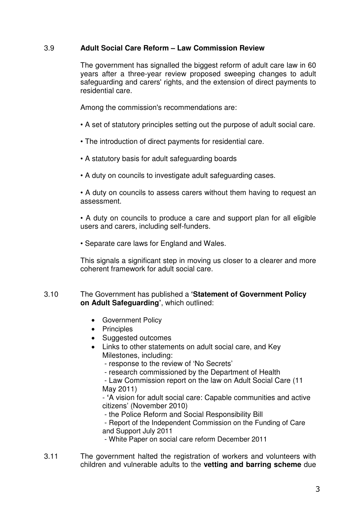# 3.9 **Adult Social Care Reform – Law Commission Review**

The government has signalled the biggest reform of adult care law in 60 years after a three-year review proposed sweeping changes to adult safeguarding and carers' rights, and the extension of direct payments to residential care.

Among the commission's recommendations are:

- A set of statutory principles setting out the purpose of adult social care.
- The introduction of direct payments for residential care.
- A statutory basis for adult safeguarding boards
- A duty on councils to investigate adult safeguarding cases.

• A duty on councils to assess carers without them having to request an assessment.

• A duty on councils to produce a care and support plan for all eligible users and carers, including self-funders.

• Separate care laws for England and Wales.

This signals a significant step in moving us closer to a clearer and more coherent framework for adult social care.

## 3.10 The Government has published a **'Statement of Government Policy on Adult Safeguarding'**, which outlined:

- Government Policy
- Principles
- Suggested outcomes
- Links to other statements on adult social care, and Key Milestones, including:

- response to the review of 'No Secrets'

- research commissioned by the Department of Health

 - Law Commission report on the law on Adult Social Care (11 May 2011)

- **'**A vision for adult social care: Capable communities and active citizens' (November 2010)

- the Police Reform and Social Responsibility Bill

 - Report of the Independent Commission on the Funding of Care and Support July 2011

- White Paper on social care reform December 2011

3.11 The government halted the registration of workers and volunteers with children and vulnerable adults to the **vetting and barring scheme** due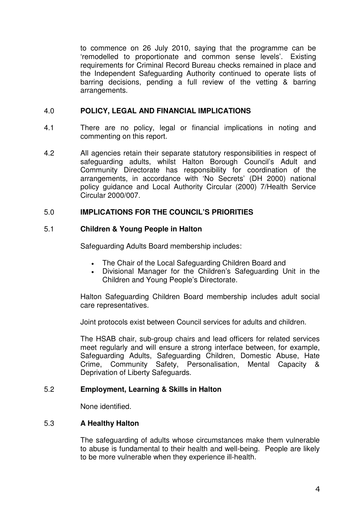to commence on 26 July 2010, saying that the programme can be 'remodelled to proportionate and common sense levels'. Existing requirements for Criminal Record Bureau checks remained in place and the Independent Safeguarding Authority continued to operate lists of barring decisions, pending a full review of the vetting & barring arrangements.

# 4.0 **POLICY, LEGAL AND FINANCIAL IMPLICATIONS**

- 4.1 There are no policy, legal or financial implications in noting and commenting on this report.
- 4.2 All agencies retain their separate statutory responsibilities in respect of safeguarding adults, whilst Halton Borough Council's Adult and Community Directorate has responsibility for coordination of the arrangements, in accordance with 'No Secrets' (DH 2000) national policy guidance and Local Authority Circular (2000) 7/Health Service Circular 2000/007.

## 5.0 **IMPLICATIONS FOR THE COUNCIL'S PRIORITIES**

## 5.1 **Children & Young People in Halton**

Safeguarding Adults Board membership includes:

- The Chair of the Local Safeguarding Children Board and
- Divisional Manager for the Children's Safeguarding Unit in the Children and Young People's Directorate.

Halton Safeguarding Children Board membership includes adult social care representatives.

Joint protocols exist between Council services for adults and children.

The HSAB chair, sub-group chairs and lead officers for related services meet regularly and will ensure a strong interface between, for example, Safeguarding Adults, Safeguarding Children, Domestic Abuse, Hate Crime, Community Safety, Personalisation, Mental Capacity & Deprivation of Liberty Safeguards.

#### 5.2 **Employment, Learning & Skills in Halton**

None identified.

#### 5.3 **A Healthy Halton**

The safeguarding of adults whose circumstances make them vulnerable to abuse is fundamental to their health and well-being. People are likely to be more vulnerable when they experience ill-health.